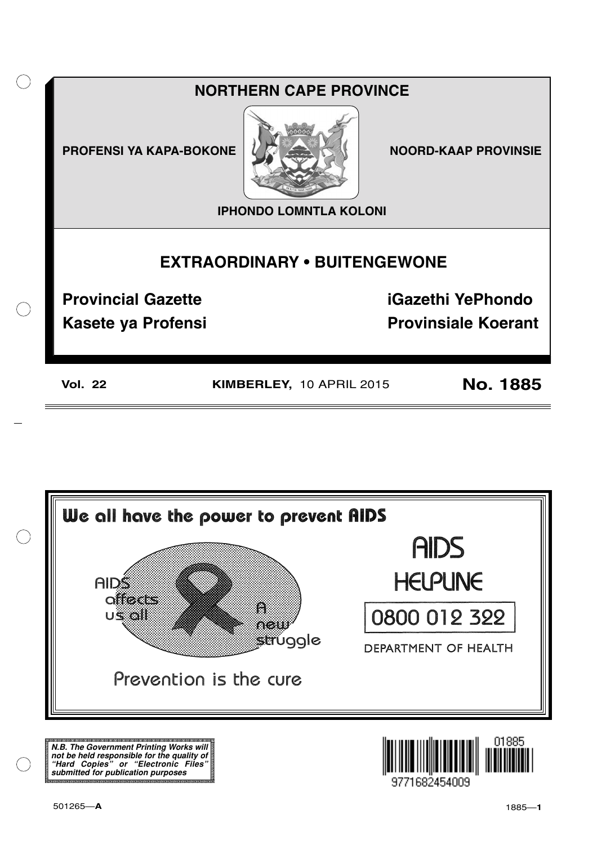



**N.B. The Government Printing Works will not be held responsible for the quality of "Hard Copies" or "Electronic Files" submitted for publication purposes**

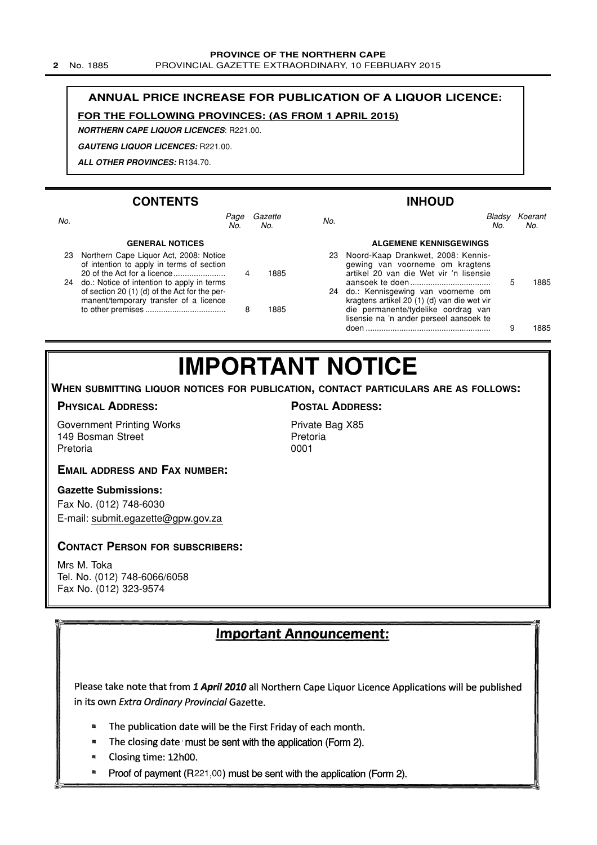#### **PROVINCE OF THE NORTHERN CAPE**

**2** No. 1885 PROVINCIAL GAZETTE EXTRAORDINARY, 10 FEBRUARY 2015

#### **ANNUAL PRICE INCREASE FOR PUBLICATION OF A LIQUOR LICENCE:**

#### **FOR THE FOLLOWING PROVINCES: (AS FROM 1 APRIL 2015)**

Page Gazette No.

**NORTHERN CAPE LIQUOR LICENCES**: R221.00.

**GAUTENG LIQUOR LICENCES:** R221.00.

**ALL OTHER PROVINCES:** R134.70.

No.<br>No. No.

#### **CONTENTS**

## **INHOUD** No. No.

Bladsy Koerant No.

#### **GENERAL NOTICES**

| 23 | Northern Cape Liquor Act, 2008: Notice<br>of intention to apply in terms of section                                                   | 4 | 1885 |
|----|---------------------------------------------------------------------------------------------------------------------------------------|---|------|
| 24 | do.: Notice of intention to apply in terms<br>of section 20 (1) (d) of the Act for the per-<br>manent/temporary transfer of a licence |   |      |
|    |                                                                                                                                       | 8 | 1885 |

|     | <b>ALGEMENE KENNISGEWINGS</b>                                                                                      |   |      |
|-----|--------------------------------------------------------------------------------------------------------------------|---|------|
| 885 | 23 Noord-Kaap Drankwet, 2008: Kennis-<br>gewing van voorneme om kragtens<br>artikel 20 van die Wet vir 'n lisensie |   |      |
|     | 24 do.: Kennisgewing van voorneme om                                                                               | 5 | 1885 |
|     | kragtens artikel 20 (1) (d) van die wet vir                                                                        |   |      |
| 885 | die permanente/tydelike oordrag van<br>lisensie na 'n ander perseel aansoek te                                     |   |      |
|     | doen                                                                                                               | 9 | 885  |

## **IMPORTANT NOTICE**

**WHEN SUBMITTING LIQUOR NOTICES FOR PUBLICATION, CONTACT PARTICULARS ARE AS FOLLOWS:**

#### **PHYSICAL ADDRESS:**

Government Printing Works 149 Bosman Street Pretoria

#### **POSTAL ADDRESS:**

Private Bag X85 Pretoria 0001

#### **EMAIL ADDRESS AND FAX NUMBER:**

#### **Gazette Submissions:**

Fax No. (012) 748-6030 E-mail: submit.egazette@gpw.gov.za

#### **CONTACT PERSON FOR SUBSCRIBERS:**

Mrs M. Toka Tel. No. (012) 748-6066/6058 Fax No. (012) 323-9574

#### Important Announcement:

Please take note that from 1 April 2010 all Northern Cape Liquor Licence Applications will be published in its own Extra Ordinary Provincial Gazette.

- The publication date will be the First Friday of each month. ø
- $\blacksquare$ The closing date must be sent with the application (Form 2).
- Closing time: 12h00.  $\blacksquare$
- Proof of payment (R221.00) must be sent with the application (Form 2).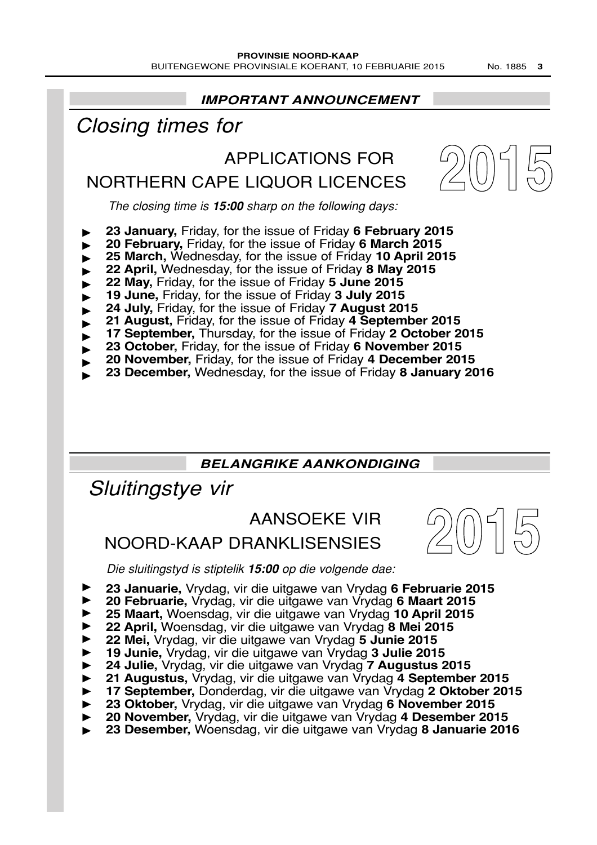**IMPORTANT ANNOUNCEMENT 2015** The closing time is **15:00** sharp on the following days: APPLICATIONS FOR NORTHERN CAPE LIQUOR LICENCES Closing times for **23 January,** Friday, for the issue of Friday **6 February 2015 20 February,** Friday, for the issue of Friday **6 March 2015 25 March,** Wednesday, for the issue of Friday **10 April 2015 22 April,** Wednesday, for the issue of Friday **8 May 2015 22 May,** Friday, for the issue of Friday **5 June 2015 19 June,** Friday, for the issue of Friday **3 July 2015 24 July,** Friday, for the issue of Friday **7 August 2015**

- **21 August,** Friday, for the issue of Friday **4 September 2015**
- **17 September,** Thursday, for the issue of Friday **2 October 2015** ▼ ▼ ▼ ▼ ▼ ▼ ▼ ▼ ▼ ▼ ▼ ▼
- **23 October,** Friday, for the issue of Friday **6 November 2015**
- **20 November,** Friday, for the issue of Friday **4 December 2015**
- **23 December,** Wednesday, for the issue of Friday **8 January 2016**

## **BELANGRIKE AANKONDIGING**

Sluitingstye vir

## AANSOEKE VIR

## NOORD-KAAP DRANKLISENSIES

Die sluitingstyd is stiptelik **15:00** op die volgende dae:

- **23 Januarie,** Vrydag, vir die uitgawe van Vrydag **6 Februarie 2015**
- **20 Februarie,** Vrydag, vir die uitgawe van Vrydag **6 Maart 2015** ▼ ▼ ▼ ▼ ▼ ▼ ▼ ▼ ▼ ▼ ▼ ▼
- **25 Maart,** Woensdag, vir die uitgawe van Vrydag **10 April 2015**
- **22 April,** Woensdag, vir die uitgawe van Vrydag **8 Mei 2015**
- **22 Mei,** Vrydag, vir die uitgawe van Vrydag **5 Junie 2015**
- **19 Junie,** Vrydag, vir die uitgawe van Vrydag **3 Julie 2015**
- **24 Julie,** Vrydag, vir die uitgawe van Vrydag **7 Augustus 2015**
- **21 Augustus,** Vrydag, vir die uitgawe van Vrydag **4 September 2015**
- **17 September,** Donderdag, vir die uitgawe van Vrydag **2 Oktober 2015**
- **23 Oktober,** Vrydag, vir die uitgawe van Vrydag **6 November 2015**
- **20 November,** Vrydag, vir die uitgawe van Vrydag **4 Desember 2015**
- **23 Desember,** Woensdag, vir die uitgawe van Vrydag **8 Januarie 2016**

**2015**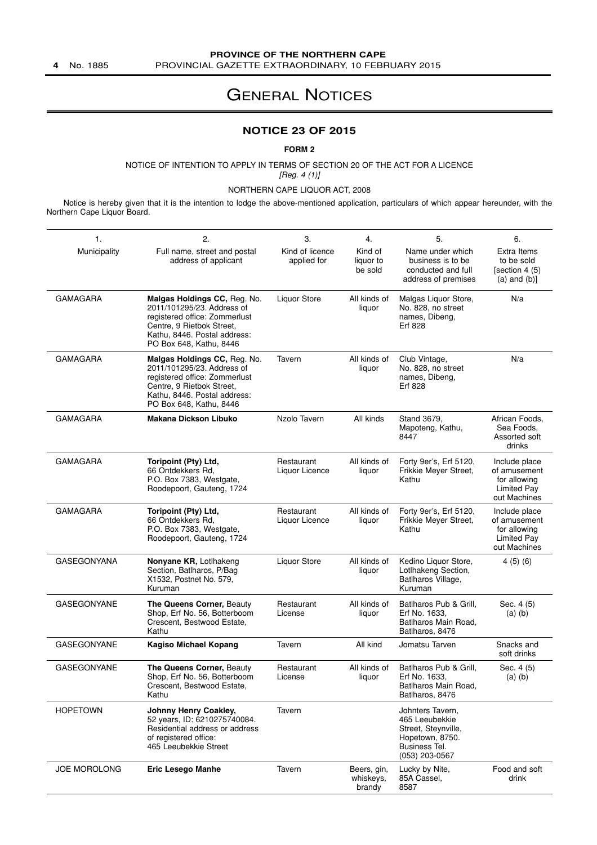### **PROVINCE OF THE NORTHERN CAPE**

**4** No. 1885 PROVINCIAL GAZETTE EXTRAORDINARY, 10 FEBRUARY 2015

## GENERAL NOTICES

#### **NOTICE 23 OF 2015**

#### **FORM 2**

NOTICE OF INTENTION TO APPLY IN TERMS OF SECTION 20 OF THE ACT FOR A LICENCE [Reg. 4 (1)]

NORTHERN CAPE LIQUOR ACT, 2008

Notice is hereby given that it is the intention to lodge the above-mentioned application, particulars of which appear hereunder, with the Northern Cape Liquor Board.

| 1.                  | 2.                                                                                                                                                                                  | 3.                             | 4.                                 | 5.                                                                                                              | 6.                                                                           |
|---------------------|-------------------------------------------------------------------------------------------------------------------------------------------------------------------------------------|--------------------------------|------------------------------------|-----------------------------------------------------------------------------------------------------------------|------------------------------------------------------------------------------|
| Municipality        | Full name, street and postal<br>address of applicant                                                                                                                                | Kind of licence<br>applied for | Kind of<br>liquor to<br>be sold    | Name under which<br>business is to be<br>conducted and full<br>address of premises                              | Extra Items<br>to be sold<br>[section 4 (5)<br>$(a)$ and $(b)$ ]             |
| <b>GAMAGARA</b>     | Malgas Holdings CC, Reg. No.<br>2011/101295/23. Address of<br>registered office: Zommerlust<br>Centre, 9 Rietbok Street,<br>Kathu, 8446. Postal address:<br>PO Box 648, Kathu, 8446 | <b>Liquor Store</b>            | All kinds of<br>liquor             | Malgas Liquor Store,<br>No. 828, no street<br>names, Dibeng,<br>Erf 828                                         | N/a                                                                          |
| GAMAGARA            | Malgas Holdings CC, Reg. No.<br>2011/101295/23. Address of<br>registered office: Zommerlust<br>Centre, 9 Rietbok Street,<br>Kathu, 8446. Postal address:<br>PO Box 648, Kathu, 8446 | Tavern                         | All kinds of<br>liquor             | Club Vintage,<br>No. 828, no street<br>names, Dibeng,<br>Erf 828                                                | N/a                                                                          |
| GAMAGARA            | <b>Makana Dickson Libuko</b>                                                                                                                                                        | Nzolo Tavern                   | All kinds                          | Stand 3679,<br>Mapoteng, Kathu,<br>8447                                                                         | African Foods,<br>Sea Foods.<br>Assorted soft<br>drinks                      |
| <b>GAMAGARA</b>     | Toripoint (Pty) Ltd.<br>66 Ontdekkers Rd,<br>P.O. Box 7383, Westgate,<br>Roodepoort, Gauteng, 1724                                                                                  | Restaurant<br>Liquor Licence   | All kinds of<br>liquor             | Forty 9er's, Erf 5120,<br>Frikkie Meyer Street,<br>Kathu                                                        | Include place<br>of amusement<br>for allowing<br>Limited Pay<br>out Machines |
| <b>GAMAGARA</b>     | Toripoint (Pty) Ltd,<br>66 Ontdekkers Rd,<br>P.O. Box 7383, Westgate,<br>Roodepoort, Gauteng, 1724                                                                                  | Restaurant<br>Liquor Licence   | All kinds of<br>liquor             | Forty 9er's, Erf 5120,<br>Frikkie Meyer Street,<br>Kathu                                                        | Include place<br>of amusement<br>for allowing<br>Limited Pay<br>out Machines |
| <b>GASEGONYANA</b>  | Nonyane KR, Lotlhakeng<br>Section, Batlharos, P/Bag<br>X1532, Postnet No. 579,<br>Kuruman                                                                                           | <b>Liquor Store</b>            | All kinds of<br>liquor             | Kedino Liquor Store,<br>Lotlhakeng Section,<br>Batlharos Village,<br>Kuruman                                    | 4(5)(6)                                                                      |
| <b>GASEGONYANE</b>  | The Queens Corner, Beauty<br>Shop, Erf No. 56, Botterboom<br>Crescent, Bestwood Estate,<br>Kathu                                                                                    | Restaurant<br>License          | All kinds of<br>liquor             | Batlharos Pub & Grill,<br>Erf No. 1633,<br>Batlharos Main Road,<br>Batlharos, 8476                              | Sec. 4 (5)<br>$(a)$ $(b)$                                                    |
| <b>GASEGONYANE</b>  | <b>Kagiso Michael Kopang</b>                                                                                                                                                        | Tavern                         | All kind                           | Jomatsu Tarven                                                                                                  | Snacks and<br>soft drinks                                                    |
| GASEGONYANE         | <b>The Queens Corner, Beauty</b><br>Shop, Erf No. 56, Botterboom<br>Crescent, Bestwood Estate,<br>Kathu                                                                             | Restaurant<br>License          | All kinds of<br>liquor             | Batlharos Pub & Grill,<br>Erf No. 1633,<br>Batlharos Main Road,<br>Batlharos, 8476                              | Sec. 4 (5)<br>$(a)$ $(b)$                                                    |
| <b>HOPETOWN</b>     | Johnny Henry Coakley,<br>52 years, ID: 6210275740084.<br>Residential address or address<br>of registered office:<br>465 Leeubekkie Street                                           | Tavern                         |                                    | Johnters Tavern,<br>465 Leeubekkie<br>Street, Steynville,<br>Hopetown, 8750.<br>Business Tel.<br>(053) 203-0567 |                                                                              |
| <b>JOE MOROLONG</b> | <b>Eric Lesego Manhe</b>                                                                                                                                                            | Tavern                         | Beers, gin,<br>whiskeys,<br>brandy | Lucky by Nite,<br>85A Cassel,<br>8587                                                                           | Food and soft<br>drink                                                       |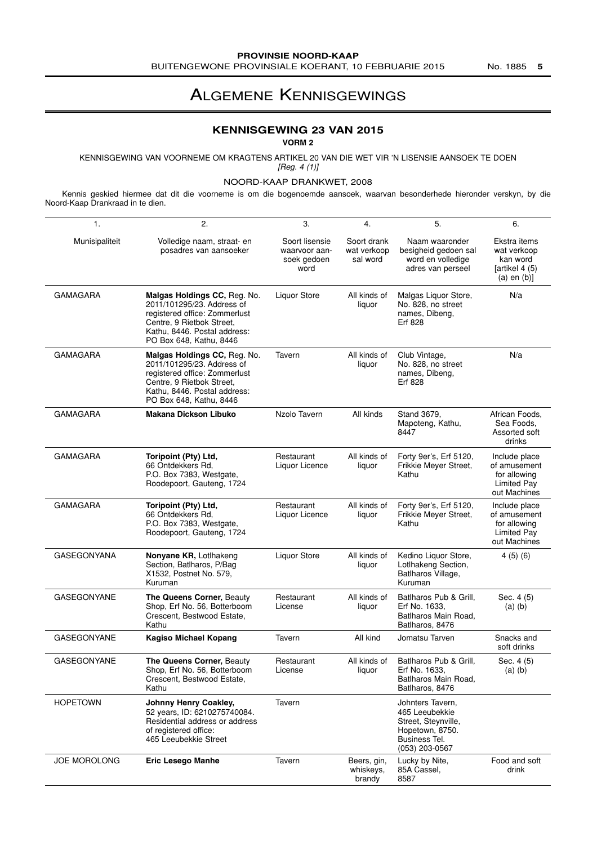## ALGEMENE KENNISGEWINGS

#### **KENNISGEWING 23 VAN 2015**

**VORM 2**

KENNISGEWING VAN VOORNEME OM KRAGTENS ARTIKEL 20 VAN DIE WET VIR 'N LISENSIE AANSOEK TE DOEN

[Reg. 4 (1)]

NOORD-KAAP DRANKWET, 2008

Kennis geskied hiermee dat dit die voorneme is om die bogenoemde aansoek, waarvan besonderhede hieronder verskyn, by die Noord-Kaap Drankraad in te dien.

| 1.                 | 2.                                                                                                                                                                                  | 3.                                                     | 4.                                     | 5.                                                                                                              | 6.                                                                             |
|--------------------|-------------------------------------------------------------------------------------------------------------------------------------------------------------------------------------|--------------------------------------------------------|----------------------------------------|-----------------------------------------------------------------------------------------------------------------|--------------------------------------------------------------------------------|
| Munisipaliteit     | Volledige naam, straat- en<br>posadres van aansoeker                                                                                                                                | Soort lisensie<br>waarvoor aan-<br>soek gedoen<br>word | Soort drank<br>wat verkoop<br>sal word | Naam waaronder<br>besigheid gedoen sal<br>word en volledige<br>adres van perseel                                | Ekstra items<br>wat verkoop<br>kan word<br>[artikel $4(5)$<br>$(a)$ en $(b)$ ] |
| <b>GAMAGARA</b>    | Malgas Holdings CC, Reg. No.<br>2011/101295/23. Address of<br>registered office: Zommerlust<br>Centre, 9 Rietbok Street,<br>Kathu, 8446. Postal address:<br>PO Box 648, Kathu, 8446 | <b>Liquor Store</b>                                    | All kinds of<br>liquor                 | Malgas Liquor Store,<br>No. 828, no street<br>names, Dibeng,<br>Erf 828                                         | N/a                                                                            |
| <b>GAMAGARA</b>    | Malgas Holdings CC, Reg. No.<br>2011/101295/23. Address of<br>registered office: Zommerlust<br>Centre, 9 Rietbok Street,<br>Kathu, 8446. Postal address:<br>PO Box 648, Kathu, 8446 | Tavern                                                 | All kinds of<br>liquor                 | Club Vintage,<br>No. 828, no street<br>names, Dibeng,<br>Erf 828                                                | N/a                                                                            |
| <b>GAMAGARA</b>    | Makana Dickson Libuko                                                                                                                                                               | Nzolo Tavern                                           | All kinds                              | Stand 3679,<br>Mapoteng, Kathu,<br>8447                                                                         | African Foods.<br>Sea Foods.<br>Assorted soft<br>drinks                        |
| <b>GAMAGARA</b>    | Toripoint (Pty) Ltd,<br>66 Ontdekkers Rd,<br>P.O. Box 7383, Westgate,<br>Roodepoort, Gauteng, 1724                                                                                  | Restaurant<br>Liquor Licence                           | All kinds of<br>liquor                 | Forty 9er's, Erf 5120,<br>Frikkie Meyer Street,<br>Kathu                                                        | Include place<br>of amusement<br>for allowing<br>Limited Pay<br>out Machines   |
| GAMAGARA           | Toripoint (Pty) Ltd,<br>66 Ontdekkers Rd,<br>P.O. Box 7383, Westgate,<br>Roodepoort, Gauteng, 1724                                                                                  | Restaurant<br>Liquor Licence                           | All kinds of<br>liquor                 | Forty 9er's, Erf 5120,<br>Frikkie Meyer Street,<br>Kathu                                                        | Include place<br>of amusement<br>for allowing<br>Limited Pay<br>out Machines   |
| <b>GASEGONYANA</b> | Nonyane KR, Lotlhakeng<br>Section, Batlharos, P/Bag<br>X1532, Postnet No. 579,<br>Kuruman                                                                                           | <b>Liquor Store</b>                                    | All kinds of<br>liquor                 | Kedino Liquor Store,<br>Lotlhakeng Section,<br>Batlharos Village,<br>Kuruman                                    | 4(5)(6)                                                                        |
| GASEGONYANE        | The Queens Corner, Beauty<br>Shop, Erf No. 56, Botterboom<br>Crescent, Bestwood Estate,<br>Kathu                                                                                    | Restaurant<br>License                                  | All kinds of<br>liquor                 | Batlharos Pub & Grill,<br>Erf No. 1633.<br>Batlharos Main Road,<br>Batlharos, 8476                              | Sec. 4 (5)<br>$(a)$ $(b)$                                                      |
| <b>GASEGONYANE</b> | <b>Kagiso Michael Kopang</b>                                                                                                                                                        | Tavern                                                 | All kind                               | Jomatsu Tarven                                                                                                  | Snacks and<br>soft drinks                                                      |
| <b>GASEGONYANE</b> | The Queens Corner, Beauty<br>Shop, Erf No. 56, Botterboom<br>Crescent, Bestwood Estate,<br>Kathu                                                                                    | Restaurant<br>License                                  | All kinds of<br>liquor                 | Batlharos Pub & Grill.<br>Erf No. 1633.<br>Batlharos Main Road.<br>Batlharos, 8476                              | Sec. 4 (5)<br>$(a)$ $(b)$                                                      |
| <b>HOPETOWN</b>    | <b>Johnny Henry Coakley,</b><br>52 years, ID: 6210275740084.<br>Residential address or address<br>of registered office:<br>465 Leeubekkie Street                                    | Tavern                                                 |                                        | Johnters Tavern,<br>465 Leeubekkie<br>Street, Steynville,<br>Hopetown, 8750.<br>Business Tel.<br>(053) 203-0567 |                                                                                |
| JOE MOROLONG       | Eric Lesego Manhe                                                                                                                                                                   | Tavern                                                 | Beers, gin,<br>whiskeys,<br>brandy     | Lucky by Nite,<br>85A Cassel,<br>8587                                                                           | Food and soft<br>drink                                                         |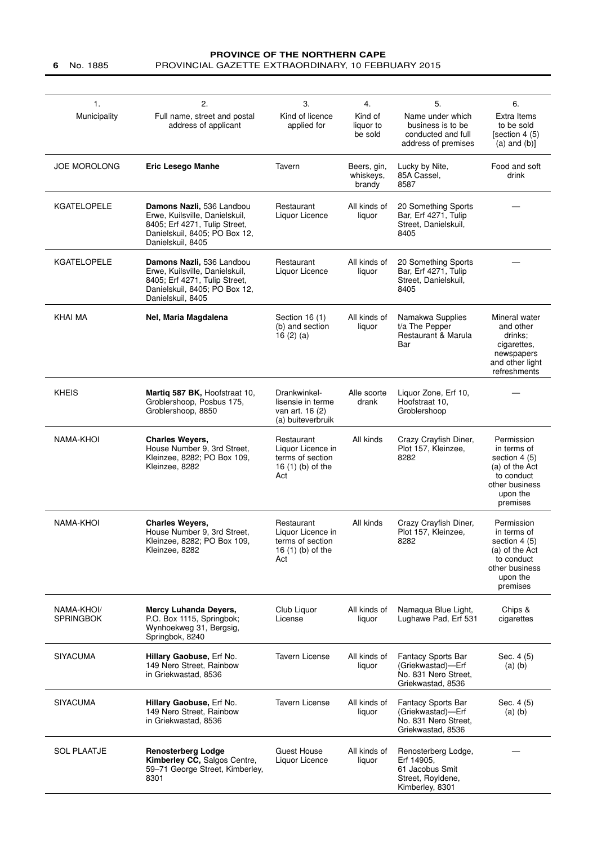#### **PROVINCE OF THE NORTHERN CAPE 6** No. 1885 PROVINCIAL GAZETTE EXTRAORDINARY, 10 FEBRUARY 2015

| $\mathbf{1}$ .<br>Municipality | 2.<br>Full name, street and postal<br>address of applicant                                                                                         | 3.<br>Kind of licence<br>applied for                                                | 4.<br>Kind of<br>liquor to<br>be sold | 5.<br>Name under which<br>business is to be<br>conducted and full<br>address of premises     | 6.<br>Extra Items<br>to be sold<br>[section 4 (5)<br>$(a)$ and $(b)$ ]                                               |
|--------------------------------|----------------------------------------------------------------------------------------------------------------------------------------------------|-------------------------------------------------------------------------------------|---------------------------------------|----------------------------------------------------------------------------------------------|----------------------------------------------------------------------------------------------------------------------|
| <b>JOE MOROLONG</b>            | <b>Eric Lesego Manhe</b>                                                                                                                           | Tavern                                                                              | Beers, gin,<br>whiskeys,<br>brandy    | Lucky by Nite,<br>85A Cassel,<br>8587                                                        | Food and soft<br>drink                                                                                               |
| <b>KGATELOPELE</b>             | Damons Nazli, 536 Landbou<br>Erwe, Kuilsville, Danielskuil,<br>8405; Erf 4271, Tulip Street,<br>Danielskuil, 8405; PO Box 12,<br>Danielskuil, 8405 | Restaurant<br>Liquor Licence                                                        | All kinds of<br>liquor                | 20 Something Sports<br>Bar, Erf 4271, Tulip<br>Street, Danielskuil,<br>8405                  |                                                                                                                      |
| <b>KGATELOPELE</b>             | Damons Nazli, 536 Landbou<br>Erwe, Kuilsville, Danielskuil,<br>8405; Erf 4271, Tulip Street,<br>Danielskuil, 8405; PO Box 12,<br>Danielskuil, 8405 | Restaurant<br>Liquor Licence                                                        | All kinds of<br>liquor                | 20 Something Sports<br>Bar, Erf 4271, Tulip<br>Street, Danielskuil,<br>8405                  |                                                                                                                      |
| <b>KHAI MA</b>                 | Nel, Maria Magdalena                                                                                                                               | Section 16 (1)<br>(b) and section<br>16 $(2)$ $(a)$                                 | All kinds of<br>liquor                | Namakwa Supplies<br>t/a The Pepper<br>Restaurant & Marula<br>Bar                             | Mineral water<br>and other<br>drinks:<br>cigarettes,<br>newspapers<br>and other light<br>refreshments                |
| <b>KHEIS</b>                   | Martiq 587 BK, Hoofstraat 10,<br>Groblershoop, Posbus 175,<br>Groblershoop, 8850                                                                   | Drankwinkel-<br>lisensie in terme<br>van art. 16 (2)<br>(a) buiteverbruik           | Alle soorte<br>drank                  | Liquor Zone, Erf 10,<br>Hoofstraat 10,<br>Groblershoop                                       |                                                                                                                      |
| <b>NAMA-KHOI</b>               | <b>Charles Weyers,</b><br>House Number 9, 3rd Street,<br>Kleinzee, 8282; PO Box 109,<br>Kleinzee, 8282                                             | Restaurant<br>Liquor Licence in<br>terms of section<br>16 (1) (b) of the<br>Act     | All kinds                             | Crazy Crayfish Diner,<br>Plot 157, Kleinzee,<br>8282                                         | Permission<br>in terms of<br>section 4 (5)<br>(a) of the Act<br>to conduct<br>other business<br>upon the<br>premises |
| NAMA-KHOI                      | <b>Charles Weyers,</b><br>House Number 9, 3rd Street,<br>Kleinzee, 8282; PO Box 109,<br>Kleinzee, 8282                                             | Restaurant<br>Liquor Licence in<br>terms of section<br>16 $(1)$ $(b)$ of the<br>Act | All kinds                             | Crazy Crayfish Diner,<br>Plot 157, Kleinzee,<br>8282                                         | Permission<br>in terms of<br>section 4 (5)<br>(a) of the Act<br>to conduct<br>other business<br>upon the<br>premises |
| NAMA-KHOI/<br><b>SPRINGBOK</b> | <b>Mercy Luhanda Devers,</b><br>P.O. Box 1115, Springbok;<br>Wynhoekweg 31, Bergsig,<br>Springbok, 8240                                            | Club Liquor<br>License                                                              | All kinds of<br>liquor                | Namagua Blue Light,<br>Lughawe Pad, Erf 531                                                  | Chips &<br>cigarettes                                                                                                |
| <b>SIYACUMA</b>                | Hillary Gaobuse, Erf No.<br>149 Nero Street, Rainbow<br>in Griekwastad, 8536                                                                       | <b>Tavern License</b>                                                               | All kinds of<br>liquor                | Fantacy Sports Bar<br>(Griekwastad)—Erf<br>No. 831 Nero Street,<br>Griekwastad, 8536         | Sec. 4 (5)<br>$(a)$ $(b)$                                                                                            |
| <b>SIYACUMA</b>                | Hillary Gaobuse, Erf No.<br>149 Nero Street, Rainbow<br>in Griekwastad, 8536                                                                       | <b>Tavern License</b>                                                               | All kinds of<br>liquor                | <b>Fantacy Sports Bar</b><br>(Griekwastad)-Erf<br>No. 831 Nero Street,<br>Griekwastad, 8536  | Sec. 4 (5)<br>$(a)$ $(b)$                                                                                            |
| <b>SOL PLAATJE</b>             | <b>Renosterberg Lodge</b><br>Kimberley CC, Salgos Centre,<br>59-71 George Street, Kimberley,<br>8301                                               | Guest House<br>Liquor Licence                                                       | All kinds of<br>liquor                | Renosterberg Lodge,<br>Erf 14905,<br>61 Jacobus Smit<br>Street, Royldene,<br>Kimberley, 8301 |                                                                                                                      |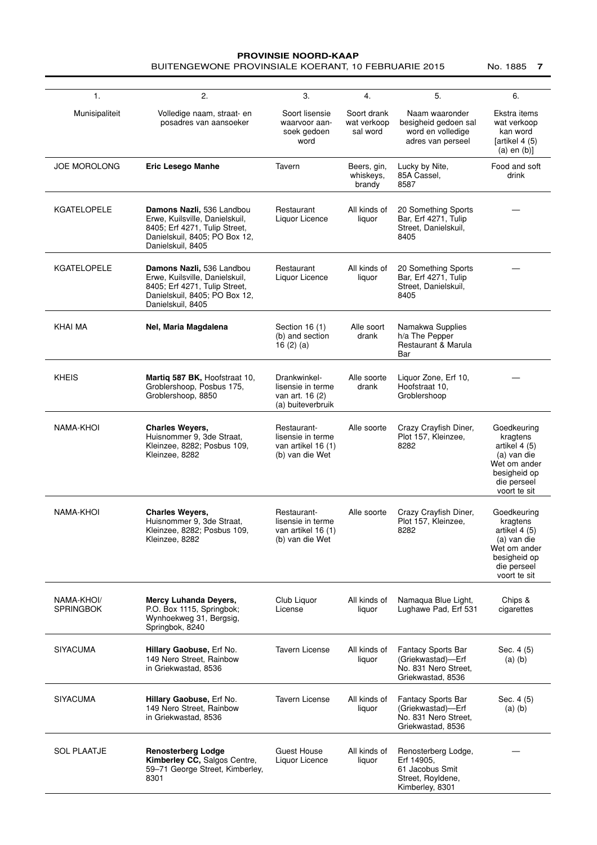#### **PROVINSIE NOORD-KAAP** BUITENGEWONE PROVINSIALE KOERANT, 10 FEBRUARIE 2015 No. 1885 **7**

| 1.                             | 2.                                                                                                                                                 | 3.                                                                        | 4.                                     | 5.                                                                                           | 6.                                                                                                                     |
|--------------------------------|----------------------------------------------------------------------------------------------------------------------------------------------------|---------------------------------------------------------------------------|----------------------------------------|----------------------------------------------------------------------------------------------|------------------------------------------------------------------------------------------------------------------------|
| Munisipaliteit                 | Volledige naam, straat- en<br>posadres van aansoeker                                                                                               | Soort lisensie<br>waarvoor aan-<br>soek gedoen<br>word                    | Soort drank<br>wat verkoop<br>sal word | Naam waaronder<br>besigheid gedoen sal<br>word en volledige<br>adres van perseel             | Ekstra items<br>wat verkoop<br>kan word<br>[artikel 4 (5)<br>$(a)$ en $(b)$ ]                                          |
| <b>JOE MOROLONG</b>            | <b>Eric Lesego Manhe</b>                                                                                                                           | Tavern                                                                    | Beers, gin,<br>whiskeys,<br>brandy     | Lucky by Nite,<br>85A Cassel,<br>8587                                                        | Food and soft<br>drink                                                                                                 |
| <b>KGATELOPELE</b>             | Damons Nazli, 536 Landbou<br>Erwe, Kuilsville, Danielskuil,<br>8405; Erf 4271, Tulip Street,<br>Danielskuil, 8405; PO Box 12,<br>Danielskuil, 8405 | Restaurant<br>Liquor Licence                                              | All kinds of<br>liquor                 | 20 Something Sports<br>Bar, Erf 4271, Tulip<br>Street, Danielskuil,<br>8405                  |                                                                                                                        |
| <b>KGATELOPELE</b>             | Damons Nazli, 536 Landbou<br>Erwe, Kuilsville, Danielskuil,<br>8405; Erf 4271, Tulip Street,<br>Danielskuil, 8405; PO Box 12,<br>Danielskuil, 8405 | Restaurant<br>Liquor Licence                                              | All kinds of<br>liquor                 | 20 Something Sports<br>Bar, Erf 4271, Tulip<br>Street, Danielskuil,<br>8405                  |                                                                                                                        |
| KHAI MA                        | Nel, Maria Magdalena                                                                                                                               | Section 16 (1)<br>(b) and section<br>16 $(2)$ $(a)$                       | Alle soort<br>drank                    | Namakwa Supplies<br>h/a The Pepper<br>Restaurant & Marula<br>Bar                             |                                                                                                                        |
| <b>KHEIS</b>                   | Martiq 587 BK, Hoofstraat 10,<br>Groblershoop, Posbus 175,<br>Groblershoop, 8850                                                                   | Drankwinkel-<br>lisensie in terme<br>van art. 16 (2)<br>(a) buiteverbruik | Alle soorte<br>drank                   | Liquor Zone, Erf 10,<br>Hoofstraat 10.<br>Groblershoop                                       |                                                                                                                        |
| NAMA-KHOI                      | <b>Charles Weyers,</b><br>Huisnommer 9, 3de Straat,<br>Kleinzee, 8282; Posbus 109,<br>Kleinzee, 8282                                               | Restaurant-<br>lisensie in terme<br>van artikel 16 (1)<br>(b) van die Wet | Alle soorte                            | Crazy Crayfish Diner,<br>Plot 157, Kleinzee,<br>8282                                         | Goedkeuring<br>kragtens<br>artikel 4 (5)<br>(a) van die<br>Wet om ander<br>besigheid op<br>die perseel<br>voort te sit |
| NAMA-KHOI                      | <b>Charles Wevers,</b><br>Huisnommer 9, 3de Straat,<br>Kleinzee, 8282; Posbus 109,<br>Kleinzee, 8282                                               | Restaurant-<br>lisensie in terme<br>van artikel 16 (1)<br>(b) van die Wet | Alle soorte                            | Crazy Crayfish Diner,<br>Plot 157, Kleinzee,<br>8282                                         | Goedkeuring<br>kragtens<br>artikel 4 (5)<br>(a) van die<br>Wet om ander<br>besigheid op<br>die perseel<br>voort te sit |
| NAMA-KHOI/<br><b>SPRINGBOK</b> | Mercy Luhanda Deyers,<br>P.O. Box 1115, Springbok;<br>Wynhoekweg 31, Bergsig,<br>Springbok, 8240                                                   | Club Liquor<br>License                                                    | All kinds of<br>liquor                 | Namaqua Blue Light,<br>Lughawe Pad, Erf 531                                                  | Chips &<br>cigarettes                                                                                                  |
| <b>SIYACUMA</b>                | Hillary Gaobuse, Erf No.<br>149 Nero Street, Rainbow<br>in Griekwastad, 8536                                                                       | <b>Tavern License</b>                                                     | All kinds of<br>liquor                 | <b>Fantacy Sports Bar</b><br>(Griekwastad)-Erf<br>No. 831 Nero Street,<br>Griekwastad, 8536  | Sec. 4 (5)<br>$(a)$ $(b)$                                                                                              |
| <b>SIYACUMA</b>                | Hillary Gaobuse, Erf No.<br>149 Nero Street, Rainbow<br>in Griekwastad, 8536                                                                       | <b>Tavern License</b>                                                     | All kinds of<br>liquor                 | Fantacy Sports Bar<br>(Griekwastad)-Erf<br>No. 831 Nero Street,<br>Griekwastad, 8536         | Sec. 4 (5)<br>$(a)$ $(b)$                                                                                              |
| <b>SOL PLAATJE</b>             | <b>Renosterberg Lodge</b><br>Kimberley CC, Salgos Centre,<br>59-71 George Street, Kimberley,<br>8301                                               | Guest House<br>Liquor Licence                                             | All kinds of<br>liquor                 | Renosterberg Lodge,<br>Erf 14905,<br>61 Jacobus Smit<br>Street, Royldene,<br>Kimberley, 8301 |                                                                                                                        |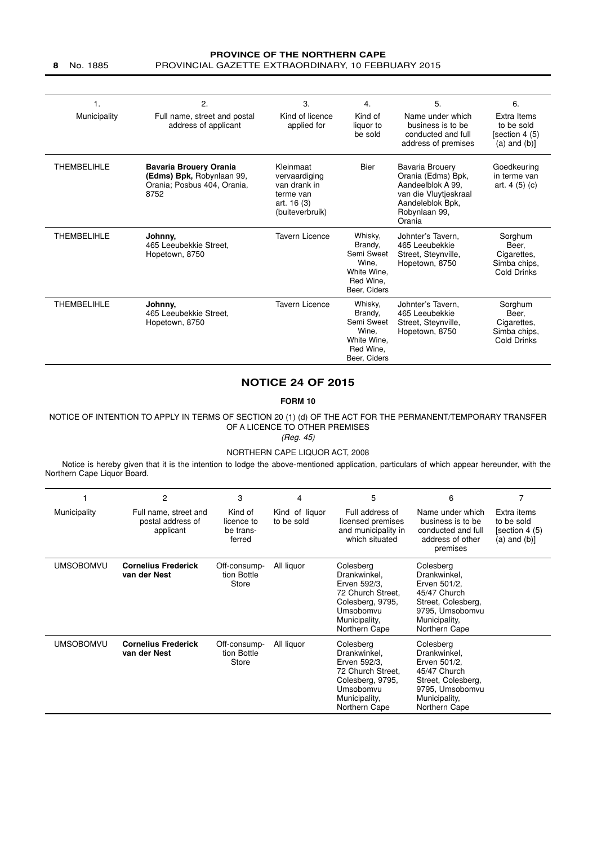#### **PROVINCE OF THE NORTHERN CAPE 8** No. 1885 PROVINCIAL GAZETTE EXTRAORDINARY, 10 FEBRUARY 2015

| 1.                 | 2.                                                                                                | 3.                                                                                        | 4.                                                                                    | 5.                                                                                                                                 | 6.                                                                    |
|--------------------|---------------------------------------------------------------------------------------------------|-------------------------------------------------------------------------------------------|---------------------------------------------------------------------------------------|------------------------------------------------------------------------------------------------------------------------------------|-----------------------------------------------------------------------|
| Municipality       | Full name, street and postal<br>address of applicant                                              | Kind of licence<br>applied for                                                            | Kind of<br>liquor to<br>be sold                                                       | Name under which<br>business is to be<br>conducted and full<br>address of premises                                                 | Extra Items<br>to be sold<br>[section 4 (5)<br>$(a)$ and $(b)$ ]      |
| <b>THEMBELIHLE</b> | <b>Bavaria Brouery Orania</b><br>(Edms) Bpk, Robynlaan 99,<br>Orania; Posbus 404, Orania,<br>8752 | Kleinmaat<br>vervaardiging<br>van drank in<br>terme van<br>art. 16 (3)<br>(buiteverbruik) | Bier                                                                                  | Bavaria Brouery<br>Orania (Edms) Bpk,<br>Aandeelblok A 99.<br>van die Vluytjeskraal<br>Aandeleblok Bpk,<br>Robynlaan 99,<br>Orania | Goedkeuring<br>in terme van<br>art. $4(5)(c)$                         |
| <b>THEMBELIHLE</b> | Johnny,<br>465 Leeubekkie Street.<br>Hopetown, 8750                                               | Tavern Licence                                                                            | Whisky,<br>Brandy,<br>Semi Sweet<br>Wine.<br>White Wine.<br>Red Wine,<br>Beer, Ciders | Johnter's Tavern.<br>465 Leeubekkie<br>Street, Steynville,<br>Hopetown, 8750                                                       | Sorghum<br>Beer,<br>Cigarettes,<br>Simba chips,<br>Cold Drinks        |
| <b>THEMBELIHLE</b> | Johnny,<br>465 Leeubekkie Street.<br>Hopetown, 8750                                               | Tavern Licence                                                                            | Whisky,<br>Brandy,<br>Semi Sweet<br>Wine.<br>White Wine,<br>Red Wine.<br>Beer, Ciders | Johnter's Tavern.<br>465 Leeubekkie<br>Street, Steynville,<br>Hopetown, 8750                                                       | Sorghum<br>Beer,<br>Cigarettes,<br>Simba chips,<br><b>Cold Drinks</b> |

#### **NOTICE 24 OF 2015**

#### **FORM 10**

NOTICE OF INTENTION TO APPLY IN TERMS OF SECTION 20 (1) (d) OF THE ACT FOR THE PERMANENT/TEMPORARY TRANSFER OF A LICENCE TO OTHER PREMISES

(Reg. 45)

#### NORTHERN CAPE LIQUOR ACT, 2008

Notice is hereby given that it is the intention to lodge the above-mentioned application, particulars of which appear hereunder, with the Northern Cape Liquor Board.

|                  | 2                                                       | 3                                            | 4                            | 5                                                                                                                                 | 6                                                                                                                                    |                                                                  |
|------------------|---------------------------------------------------------|----------------------------------------------|------------------------------|-----------------------------------------------------------------------------------------------------------------------------------|--------------------------------------------------------------------------------------------------------------------------------------|------------------------------------------------------------------|
| Municipality     | Full name, street and<br>postal address of<br>applicant | Kind of<br>licence to<br>be trans-<br>ferred | Kind of liquor<br>to be sold | Full address of<br>licensed premises<br>and municipality in<br>which situated                                                     | Name under which<br>business is to be<br>conducted and full<br>address of other<br>premises                                          | Extra items<br>to be sold<br>[section 4 (5)<br>$(a)$ and $(b)$ ] |
| <b>UMSOBOMVU</b> | <b>Cornelius Frederick</b><br>van der Nest              | Off-consump-<br>tion Bottle<br>Store         | All liquor                   | Colesberg<br>Drankwinkel,<br>Erven 592/3.<br>72 Church Street.<br>Colesberg, 9795,<br>Umsobomvu<br>Municipality,<br>Northern Cape | Colesberg<br>Drankwinkel,<br>Erven 501/2.<br>45/47 Church<br>Street, Colesberg,<br>9795, Umsobomvu<br>Municipality,<br>Northern Cape |                                                                  |
| <b>UMSOBOMVU</b> | <b>Cornelius Frederick</b><br>van der Nest              | Off-consump-<br>tion Bottle<br>Store         | All liquor                   | Colesberg<br>Drankwinkel,<br>Erven 592/3,<br>72 Church Street,<br>Colesberg, 9795,<br>Umsobomvu<br>Municipality,<br>Northern Cape | Colesberg<br>Drankwinkel,<br>Erven 501/2,<br>45/47 Church<br>Street, Colesberg,<br>9795, Umsobomvu<br>Municipality,<br>Northern Cape |                                                                  |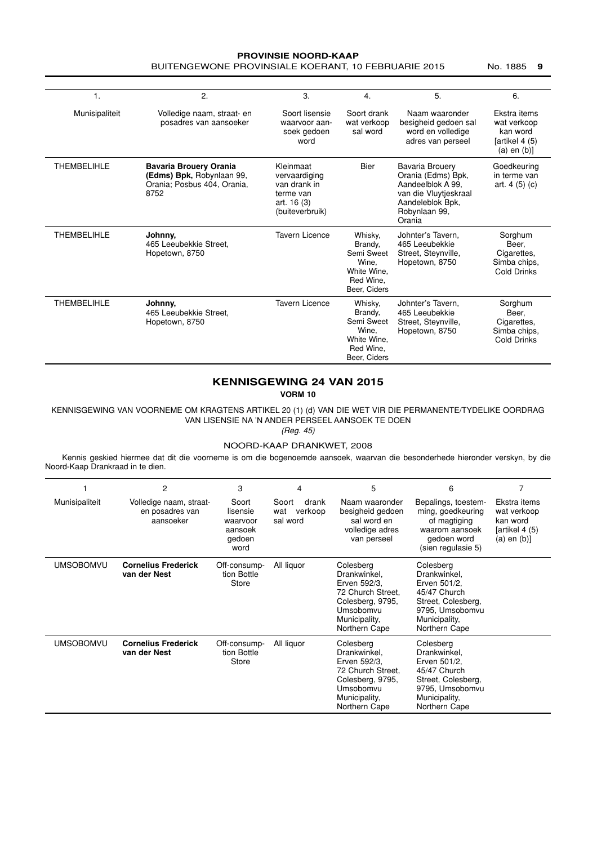#### **PROVINSIE NOORD-KAAP** BUITENGEWONE PROVINSIALE KOERANT, 10 FEBRUARIE 2015 No. 1885 9

| 1.                 | 2.                                                                                                | 3.                                                                                        | 4.                                                                                    | 5.                                                                                                                                 | 6.                                                                            |
|--------------------|---------------------------------------------------------------------------------------------------|-------------------------------------------------------------------------------------------|---------------------------------------------------------------------------------------|------------------------------------------------------------------------------------------------------------------------------------|-------------------------------------------------------------------------------|
| Munisipaliteit     | Volledige naam, straat- en<br>posadres van aansoeker                                              | Soort lisensie<br>waarvoor aan-<br>soek gedoen<br>word                                    | Soort drank<br>wat verkoop<br>sal word                                                | Naam waaronder<br>besigheid gedoen sal<br>word en volledige<br>adres van perseel                                                   | Ekstra items<br>wat verkoop<br>kan word<br>[artikel 4 (5)<br>$(a)$ en $(b)$ ] |
| <b>THEMBELIHLE</b> | <b>Bavaria Brouery Orania</b><br>(Edms) Bpk, Robynlaan 99,<br>Orania; Posbus 404, Orania,<br>8752 | Kleinmaat<br>vervaardiging<br>van drank in<br>terme van<br>art. 16 (3)<br>(buiteverbruik) | <b>Bier</b>                                                                           | Bavaria Brouery<br>Orania (Edms) Bpk,<br>Aandeelblok A 99.<br>van die Vluytjeskraal<br>Aandeleblok Bpk,<br>Robynlaan 99,<br>Orania | Goedkeuring<br>in terme van<br>art. $4(5)(c)$                                 |
| <b>THEMBELIHLE</b> | Johnny.<br>465 Leeubekkie Street.<br>Hopetown, 8750                                               | <b>Tavern Licence</b>                                                                     | Whisky,<br>Brandy,<br>Semi Sweet<br>Wine.<br>White Wine.<br>Red Wine.<br>Beer, Ciders | Johnter's Tavern.<br>465 Leeubekkie<br>Street, Steynville,<br>Hopetown, 8750                                                       | Sorghum<br>Beer,<br>Cigarettes.<br>Simba chips,<br>Cold Drinks                |
| <b>THEMBELIHLE</b> | Johnny,<br>465 Leeubekkie Street.<br>Hopetown, 8750                                               | <b>Tavern Licence</b>                                                                     | Whisky,<br>Brandy,<br>Semi Sweet<br>Wine.<br>White Wine,<br>Red Wine.<br>Beer. Ciders | Johnter's Tavern.<br>465 Leeubekkie<br>Street, Steynville,<br>Hopetown, 8750                                                       | Sorghum<br>Beer,<br>Cigarettes,<br>Simba chips,<br><b>Cold Drinks</b>         |

#### **KENNISGEWING 24 VAN 2015**

**VORM 10**

KENNISGEWING VAN VOORNEME OM KRAGTENS ARTIKEL 20 (1) (d) VAN DIE WET VIR DIE PERMANENTE/TYDELIKE OORDRAG VAN LISENSIE NA 'N ANDER PERSEEL AANSOEK TE DOEN

(Reg. 45)

#### NOORD-KAAP DRANKWET, 2008

Kennis geskied hiermee dat dit die voorneme is om die bogenoemde aansoek, waarvan die besonderhede hieronder verskyn, by die Noord-Kaap Drankraad in te dien.

|                  | 2                                                       | 3                                                          | 4                                            | 5                                                                                                                                 | 6                                                                                                                                    |                                                                               |
|------------------|---------------------------------------------------------|------------------------------------------------------------|----------------------------------------------|-----------------------------------------------------------------------------------------------------------------------------------|--------------------------------------------------------------------------------------------------------------------------------------|-------------------------------------------------------------------------------|
| Munisipaliteit   | Volledige naam, straat-<br>en posadres van<br>aansoeker | Soort<br>lisensie<br>waarvoor<br>aansoek<br>gedoen<br>word | Soort<br>drank<br>verkoop<br>wat<br>sal word | Naam waaronder<br>besigheid gedoen<br>sal word en<br>volledige adres<br>van perseel                                               | Bepalings, toestem-<br>ming, goedkeuring<br>of magtiging<br>waarom aansoek<br>gedoen word<br>(sien regulasie 5)                      | Ekstra items<br>wat verkoop<br>kan word<br>[artikel 4 (5)<br>$(a)$ en $(b)$ ] |
| <b>UMSOBOMVU</b> | <b>Cornelius Frederick</b><br>van der Nest              | Off-consump-<br>tion Bottle<br>Store                       | All liquor                                   | Colesberg<br>Drankwinkel.<br>Erven 592/3.<br>72 Church Street.<br>Colesberg, 9795.<br>Umsobomvu<br>Municipality,<br>Northern Cape | Colesberg<br>Drankwinkel,<br>Erven 501/2.<br>45/47 Church<br>Street, Colesberg,<br>9795, Umsobomvu<br>Municipality,<br>Northern Cape |                                                                               |
| <b>UMSOBOMVU</b> | <b>Cornelius Frederick</b><br>van der Nest              | Off-consump-<br>tion Bottle<br>Store                       | All liquor                                   | Colesberg<br>Drankwinkel,<br>Erven 592/3,<br>72 Church Street,<br>Colesberg, 9795,<br>Umsobomvu<br>Municipality,<br>Northern Cape | Colesberg<br>Drankwinkel,<br>Erven 501/2,<br>45/47 Church<br>Street, Colesberg,<br>9795, Umsobomvu<br>Municipality,<br>Northern Cape |                                                                               |